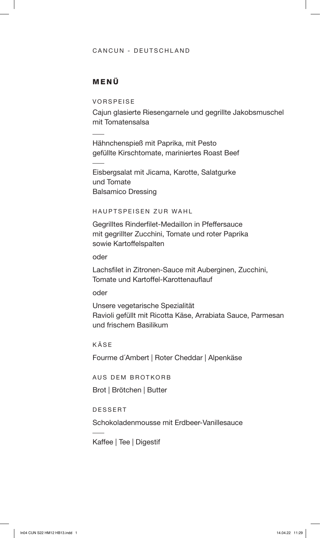### CANCUN - DEUTSCHLAND

## MENÜ

VORSPEISE

Cajun glasierte Riesengarnele und gegrillte Jakobsmuschel mit Tomatensalsa

Hähnchenspieß mit Paprika, mit Pesto gefüllte Kirschtomate, mariniertes Roast Beef

Eisbergsalat mit Jicama, Karotte, Salatgurke und Tomate Balsamico Dressing

#### HAUPTSPEISEN ZUR WAHL

Gegrilltes Rinderfilet-Medaillon in Pfeffersauce mit gegrillter Zucchini, Tomate und roter Paprika sowie Kartoffelspalten

oder

Lachsfilet in Zitronen-Sauce mit Auberginen, Zucchini, Tomate und Kartoffel-Karottenauflauf

oder

Unsere vegetarische Spezialität Ravioli gefüllt mit Ricotta Käse, Arrabiata Sauce, Parmesan und frischem Basilikum

KÄSE

Fourme d´Ambert | Roter Cheddar | Alpenkäse

AUS DEM BROTKORB

Brot | Brötchen | Butter

DESSERT

Schokoladenmousse mit Erdbeer-Vanillesauce

Kaffee | Tee | Digestif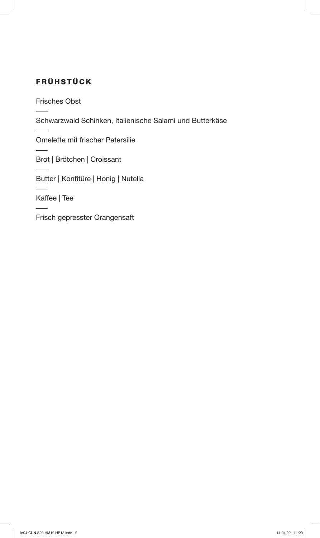# FRÜHSTÜCK

Frisches Obst

Schwarzwald Schinken, Italienische Salami und Butterkäse

Omelette mit frischer Petersilie

Brot | Brötchen | Croissant

Butter | Konfitüre | Honig | Nutella

Kaffee | Tee

Frisch gepresster Orangensaft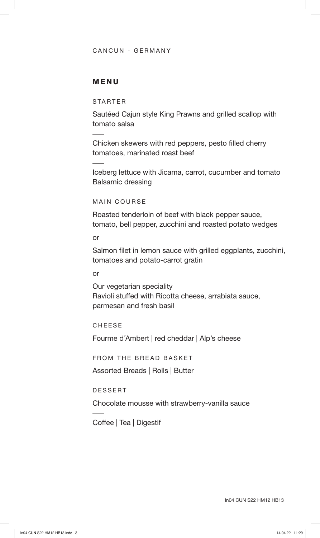### CANCUN - GERMANY

### MENU

STARTER

Sautéed Cajun style King Prawns and grilled scallop with tomato salsa

Chicken skewers with red peppers, pesto filled cherry tomatoes, marinated roast beef

Iceberg lettuce with Jicama, carrot, cucumber and tomato Balsamic dressing

MAIN COURSE

Roasted tenderloin of beef with black pepper sauce, tomato, bell pepper, zucchini and roasted potato wedges

or

Salmon filet in lemon sauce with grilled eggplants, zucchini, tomatoes and potato-carrot gratin

or

Our vegetarian speciality Ravioli stuffed with Ricotta cheese, arrabiata sauce, parmesan and fresh basil

CHEESE

Fourme d´Ambert | red cheddar | Alp's cheese

FROM THE BREAD BASKET

Assorted Breads | Rolls | Butter

DESSERT

Chocolate mousse with strawberry-vanilla sauce

Coffee | Tea | Digestif